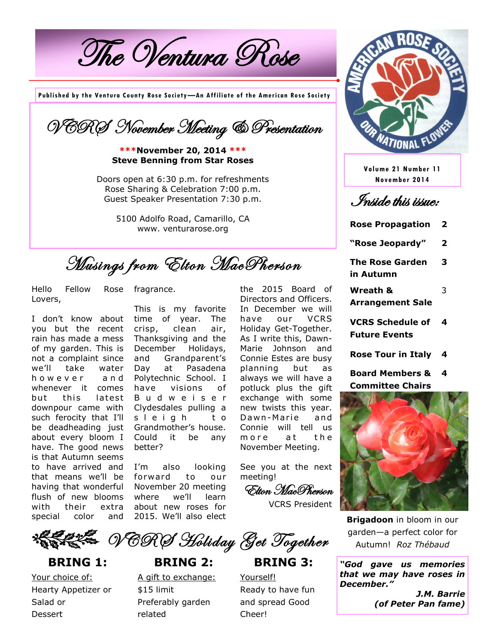The Ventura Rose

**Published by the Ventura County Rose Society—An Affiliate of the American Rose Society**

VCRS November Meeting & Presentation

**\*\*\*November 20, 2014 \*\*\* Steve Benning from Star Roses**

Doors open at 6:30 p.m. for refreshments Rose Sharing & Celebration 7:00 p.m. Guest Speaker Presentation 7:30 p.m.

> 5100 Adolfo Road, Camarillo, CA www. venturarose.org

Musings from Elton MacPherson

Hello Fellow Rose fragrance. Lovers,

I don't know about you but the recent rain has made a mess of my garden. This is not a complaint since we'll take water h o w e v e r a n d whenever it comes but this latest downpour came with such ferocity that I'll be deadheading just about every bloom I have. The good news is that Autumn seems to have arrived and that means we'll be having that wonderful flush of new blooms with their extra special color and

This is my favorite time of year. The crisp, clean air, Thanksgiving and the December Holidays, and Grandparent's Day at Pasadena Polytechnic School. I have visions of B u d w e i s e r Clydesdales pulling a s l e i g h t o Grandmother's house. Could it be any better?

I'm also looking forward to our November 20 meeting where we'll learn about new roses for 2015. We'll also elect the 2015 Board of Directors and Officers. In December we will have our VCRS Holiday Get-Together. As I write this, Dawn-Marie Johnson and Connie Estes are busy planning but as always we will have a potluck plus the gift exchange with some new twists this year. Dawn-Marie and Connie will tell us m o re at the November Meeting.

See you at the next meeting!

Elton MacPherson VCRS President

**XBEZE NERS Holiday Get Together** 

**BRING 2:**

**BRING 3:**

Yourself! Ready to have fun and spread Good Cheer!



**Volume 21 Number 11 November 2014**

Inside this issue:

**Rose Propagation 2**

**"Rose Jeopardy" 2**

**The Rose Garden in Autumn 3**

**Wreath & Arrangement Sale**

3

- **VCRS Schedule of Future Events 4**
- **Rose Tour in Italy 4**
- **Board Members & Committee Chairs 4**



**Brigadoon** in bloom in our garden—a perfect color for Autumn! *Roz Thébaud*

*"God gave us memories that we may have roses in December." J.M. Barrie (of Peter Pan fame)*

Your choice of: Hearty Appetizer or Salad or **Dessert** 

**BRING 1:**

A gift to exchange: \$15 limit Preferably garden related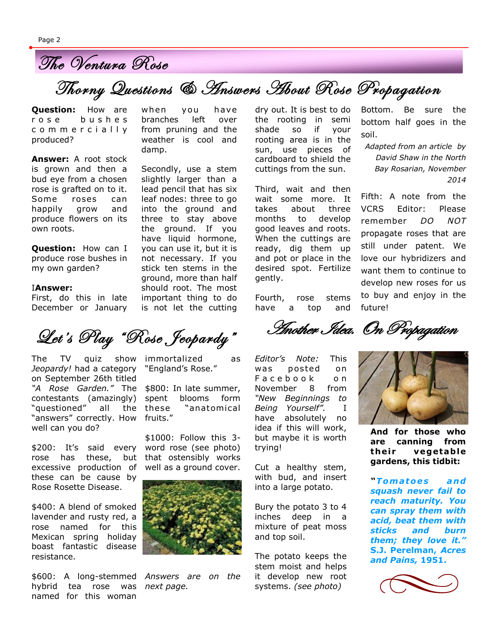

Thorny Questions & Answers About Rose Propagation

**Question:** How are r o s e b u s h e s c o m m e r c i a l l y produced?

**Answer:** A root stock is grown and then a bud eye from a chosen rose is grafted on to it. Some roses can happily grow and produce flowers on its own roots.

**Question:** How can I produce rose bushes in my own garden?

## I**Answer:**

First, do this in late December or January

The TV quiz show immortalized as Jeopardy! had a category "England's Rose." "answers" correctly. How fruits." on September 26th titled *"A Rose Garden."* The contestants (amazingly) "questioned" all the these well can you do?

\$200: It's said every rose has these, but excessive production of these can be cause by Rose Rosette Disease.

\$400: A blend of smoked lavender and rusty red, a rose named for this Mexican spring holiday boast fantastic disease resistance.

*Answers are on the*  \$600: A long-stemmed hybrid tea rose was next page. named for this woman

when you have branches left over from pruning and the weather is cool and damp.

Secondly, use a stem slightly larger than a lead pencil that has six leaf nodes: three to go into the ground and three to stay above the ground. If you have liquid hormone, you can use it, but it is not necessary. If you stick ten stems in the ground, more than half should root. The most important thing to do is not let the cutting

Let's Play "Rose Jeopardy"

\$800: In late summer, spent blooms form "anatomical

\$1000: Follow this 3 word rose (see photo) that ostensibly works well as a ground cover.



dry out. It is best to do the rooting in semi shade so if your rooting area is in the sun, use pieces of cardboard to shield the cuttings from the sun.

Third, wait and then wait some more. It takes about three months to develop good leaves and roots. When the cuttings are ready, dig them up and pot or place in the desired spot. Fertilize gently.

Fourth, rose stems have a top and

*Editor's Note:* This was posted on Facebook on November 8 from *"New Beginnings to Being Yourself".* I have absolutely no idea if this will work, but maybe it is worth trying!

Cut a healthy stem, with bud, and insert into a large potato.

Bury the potato 3 to 4 inches deep in a mixture of peat moss and top soil.

The potato keeps the stem moist and helps it develop new root systems. *(see photo)*

Bottom. Be sure the bottom half goes in the soil.

*Adapted from an article by David Shaw in the North Bay Rosarian, November 2014*

Fifth: A note from the VCRS Editor: Please remember *DO NOT*  propagate roses that are still under patent. We love our hybridizers and want them to continue to develop new roses for us to buy and enjoy in the future!

Another Idea. On Propagation



**And for those who are canning from**  their vegetable **gardens, this tidbit:**

*"Tom a t oe s a nd squash never fail to reach maturity. You can spray them with acid, beat them with sticks and burn them; they love it."*  **S.J. Perelman,** *Acres and Pains,* **1951.**

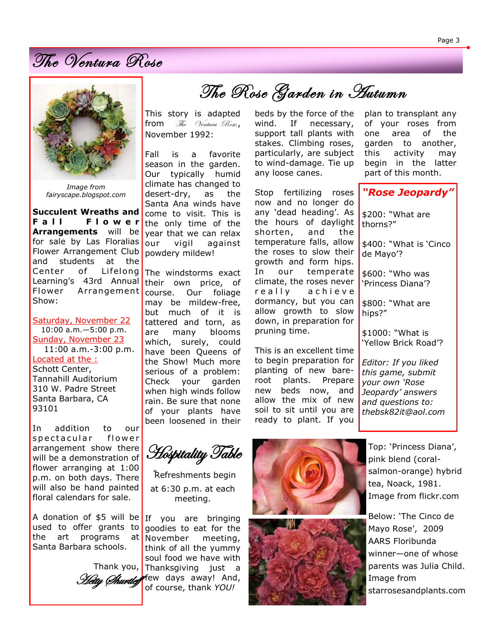The Ventura Rose



*Image from fairyscape.blogspot.com*

**Succulent Wreaths and**  Fall Flower **Arrangements** will be for sale by Las Floralias Flower Arrangement Club and students at the Center of Lifelong Learning's 43rd Annual Flower Arrangement Show:

Saturday, November 22 10:00 a.m.—5:00 p.m. Sunday, November 23 11:00 a.m.-3:00 p.m. Located at the : Schott Center, Tannahill Auditorium 310 W. Padre Street Santa Barbara, CA 93101

In addition to our s p e c t a cular flower arrangement show there will be a demonstration of flower arranging at 1:00 p.m. on both days. There will also be hand painted floral calendars for sale.

A donation of \$5 will be used to offer grants to the art programs at Santa Barbara schools.

This story is adapted from  $\mathcal{T}_{he}$  Ventura Rose, November 1992:

Fall is a favorite season in the garden. Our typically humid climate has changed to desert-dry, as the Santa Ana winds have come to visit. This is the only time of the year that we can relax our vigil against powdery mildew!

The windstorms exact their own price, of course. Our foliage may be mildew-free, but much of it is tattered and torn, as are many blooms which, surely, could have been Queens of the Show! Much more serious of a problem: Check your garden when high winds follow rain. Be sure that none of your plants have been loosened in their

beds by the force of the wind. If necessary, support tall plants with stakes. Climbing roses, particularly, are subject The Rose Garden in Autumn

to wind-damage. Tie up

any loose canes.

Stop fertilizing roses now and no longer do any 'dead heading'. As the hours of daylight shorten, and the temperature falls, allow the roses to slow their growth and form hips. In our temperate climate, the roses never really achieve dormancy, but you can allow growth to slow down, in preparation for pruning time.

This is an excellent time to begin preparation for planting of new bareroot plants. Prepare new beds now, and allow the mix of new soil to sit until you are ready to plant. If you

plan to transplant any of your roses from one area of the garden to another, this activity may begin in the latter part of this month.

*"Rose Jeopardy"*

\$200: "What are thorns?"

\$400: "What is 'Cinco de Mayo'?

\$600: "Who was 'Princess Diana'?

\$800: "What are hips?"

\$1000: "What is 'Yellow Brick Road'?

*Editor: If you liked this game, submit your own 'Rose Jeopardy' answers and questions to: thebsk82it@aol.com*

Hospitality Table

"Refreshments begin at 6:30 p.m. at each meeting.

If you are bringing goodies to eat for the November meeting, think of all the yummy soul food we have with Thank you, Thanksgiving just a Hetty Churtlef Few days away! And, of course, thank *YOU!*





Top: 'Princess Diana', pink blend (coralsalmon-orange) hybrid tea, Noack, 1981. Image from flickr.com

Below: 'The Cinco de Mayo Rose', 2009 AARS Floribunda winner—one of whose parents was Julia Child. Image from starrosesandplants.com